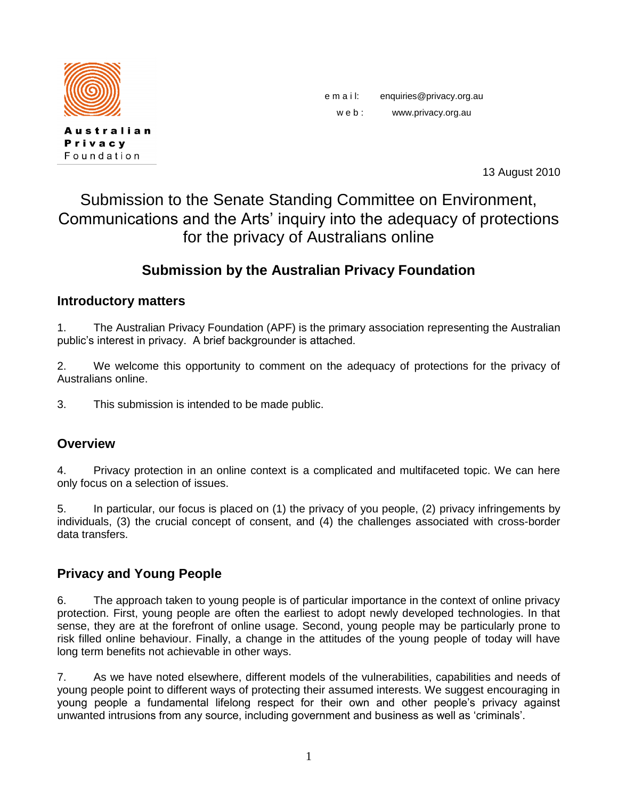

**Australian** Privacy Foundation

e m a i l: enquiries@privacy.org.au w e b : www.privacy.org.au

13 August 2010

# Submission to the Senate Standing Committee on Environment, Communications and the Arts' inquiry into the adequacy of protections for the privacy of Australians online

## **Submission by the Australian Privacy Foundation**

#### **Introductory matters**

1. The Australian Privacy Foundation (APF) is the primary association representing the Australian public"s interest in privacy. A brief backgrounder is attached.

2. We welcome this opportunity to comment on the adequacy of protections for the privacy of Australians online.

3. This submission is intended to be made public.

#### **Overview**

4. Privacy protection in an online context is a complicated and multifaceted topic. We can here only focus on a selection of issues.

5. In particular, our focus is placed on (1) the privacy of you people, (2) privacy infringements by individuals, (3) the crucial concept of consent, and (4) the challenges associated with cross-border data transfers.

## **Privacy and Young People**

6. The approach taken to young people is of particular importance in the context of online privacy protection. First, young people are often the earliest to adopt newly developed technologies. In that sense, they are at the forefront of online usage. Second, young people may be particularly prone to risk filled online behaviour. Finally, a change in the attitudes of the young people of today will have long term benefits not achievable in other ways.

7. As we have noted elsewhere, different models of the vulnerabilities, capabilities and needs of young people point to different ways of protecting their assumed interests. We suggest encouraging in young people a fundamental lifelong respect for their own and other people"s privacy against unwanted intrusions from any source, including government and business as well as "criminals".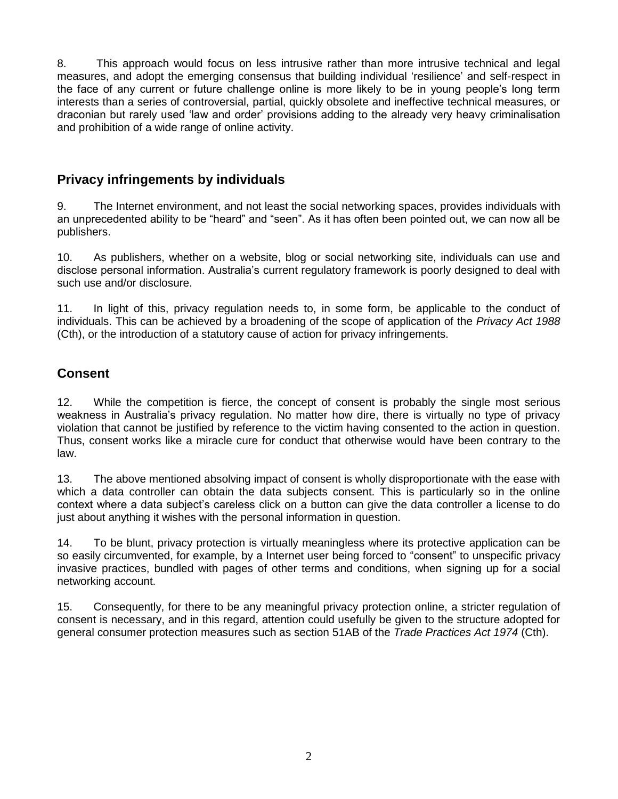8. This approach would focus on less intrusive rather than more intrusive technical and legal measures, and adopt the emerging consensus that building individual "resilience" and self-respect in the face of any current or future challenge online is more likely to be in young people"s long term interests than a series of controversial, partial, quickly obsolete and ineffective technical measures, or draconian but rarely used "law and order" provisions adding to the already very heavy criminalisation and prohibition of a wide range of online activity.

#### **Privacy infringements by individuals**

9. The Internet environment, and not least the social networking spaces, provides individuals with an unprecedented ability to be "heard" and "seen". As it has often been pointed out, we can now all be publishers.

10. As publishers, whether on a website, blog or social networking site, individuals can use and disclose personal information. Australia"s current regulatory framework is poorly designed to deal with such use and/or disclosure.

11. In light of this, privacy regulation needs to, in some form, be applicable to the conduct of individuals. This can be achieved by a broadening of the scope of application of the *Privacy Act 1988* (Cth), or the introduction of a statutory cause of action for privacy infringements.

## **Consent**

12. While the competition is fierce, the concept of consent is probably the single most serious weakness in Australia"s privacy regulation. No matter how dire, there is virtually no type of privacy violation that cannot be justified by reference to the victim having consented to the action in question. Thus, consent works like a miracle cure for conduct that otherwise would have been contrary to the law.

13. The above mentioned absolving impact of consent is wholly disproportionate with the ease with which a data controller can obtain the data subjects consent. This is particularly so in the online context where a data subject"s careless click on a button can give the data controller a license to do just about anything it wishes with the personal information in question.

14. To be blunt, privacy protection is virtually meaningless where its protective application can be so easily circumvented, for example, by a Internet user being forced to "consent" to unspecific privacy invasive practices, bundled with pages of other terms and conditions, when signing up for a social networking account.

15. Consequently, for there to be any meaningful privacy protection online, a stricter regulation of consent is necessary, and in this regard, attention could usefully be given to the structure adopted for general consumer protection measures such as section 51AB of the *Trade Practices Act 1974* (Cth).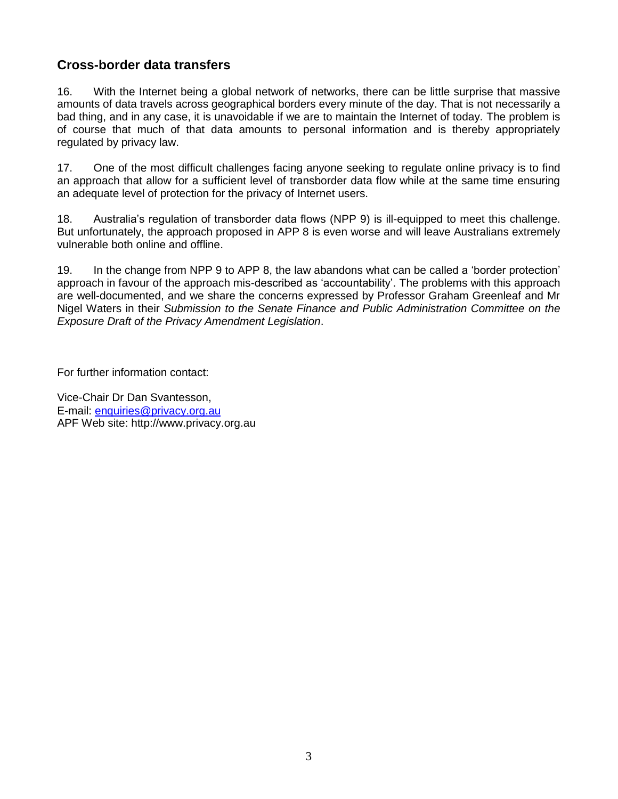#### **Cross-border data transfers**

16. With the Internet being a global network of networks, there can be little surprise that massive amounts of data travels across geographical borders every minute of the day. That is not necessarily a bad thing, and in any case, it is unavoidable if we are to maintain the Internet of today. The problem is of course that much of that data amounts to personal information and is thereby appropriately regulated by privacy law.

17. One of the most difficult challenges facing anyone seeking to regulate online privacy is to find an approach that allow for a sufficient level of transborder data flow while at the same time ensuring an adequate level of protection for the privacy of Internet users.

18. Australia"s regulation of transborder data flows (NPP 9) is ill-equipped to meet this challenge. But unfortunately, the approach proposed in APP 8 is even worse and will leave Australians extremely vulnerable both online and offline.

19. In the change from NPP 9 to APP 8, the law abandons what can be called a "border protection" approach in favour of the approach mis-described as "accountability". The problems with this approach are well-documented, and we share the concerns expressed by Professor Graham Greenleaf and Mr Nigel Waters in their *Submission to the Senate Finance and Public Administration Committee on the Exposure Draft of the Privacy Amendment Legislation*.

For further information contact:

Vice-Chair Dr Dan Svantesson, E-mail: [enquiries@privacy.org.au](mailto:enquiries@privacy.org.au) APF Web site: [http://www.privacy.org.au](http://www.privacy.org.au/)